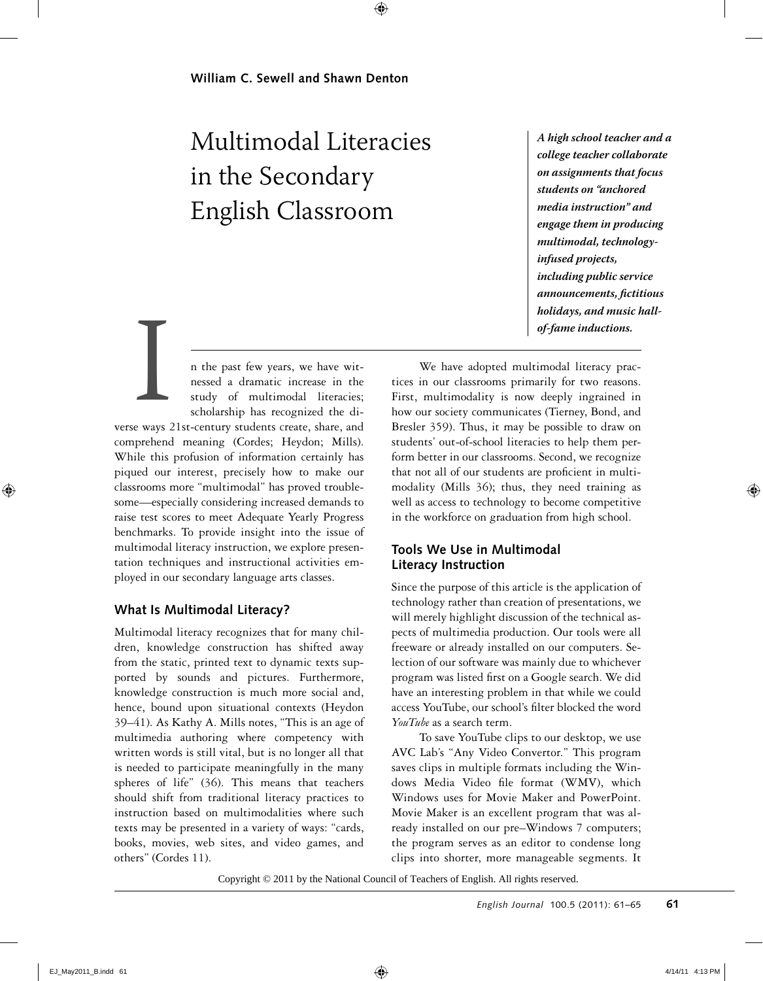# Multimodal Literacies in the Secondary English Classroom

*A high school teacher and a college teacher collaborate on assignments that focus students on "anchored media instruction" and engage them in producing multimodal, technologyinfused projects, including public service announcements, fictitious holidays, and music hallof-fame inductions.*

n the past few years, we have witnessed a dramatic increase in the study of multimodal literacies; scholarship has recognized the di-

verse ways 21st-century students create, share, and comprehend meaning (Cordes; Heydon; Mills). While this profusion of information certainly has piqued our interest, precisely how to make our classrooms more "multimodal" has proved troublesome—especially considering increased demands to raise test scores to meet Adequate Yearly Progress benchmarks. To provide insight into the issue of multimodal literacy instruction, we explore presentation techniques and instructional activities employed in our secondary language arts classes. Expanse of the same of the same of the same of the same of the same of the same of the same of the same of the same of the same of the same of the same of the same of the same of the same of the same of the same of the sam

# **What Is Multimodal Literacy?**

Multimodal literacy recognizes that for many children, knowledge construction has shifted away from the static, printed text to dynamic texts supported by sounds and pictures. Furthermore, knowledge construction is much more social and, hence, bound upon situational contexts (Heydon 39–41). As Kathy A. Mills notes, "This is an age of multimedia authoring where competency with written words is still vital, but is no longer all that is needed to participate meaningfully in the many spheres of life" (36). This means that teachers should shift from traditional literacy practices to instruction based on multimodalities where such texts may be presented in a variety of ways: "cards, books, movies, web sites, and video games, and others" (Cordes 11).

We have adopted multimodal literacy practices in our classrooms primarily for two reasons. First, multimodality is now deeply ingrained in how our society communicates (Tierney, Bond, and Bresler 359). Thus, it may be possible to draw on students' out-of-school literacies to help them perform better in our classrooms. Second, we recognize that not all of our students are proficient in multimodality (Mills 36); thus, they need training as well as access to technology to become competitive in the workforce on graduation from high school.

## **Tools We Use in Multimodal Literacy Instruction**

Since the purpose of this article is the application of technology rather than creation of presentations, we will merely highlight discussion of the technical aspects of multimedia production. Our tools were all freeware or already installed on our computers. Selection of our software was mainly due to whichever program was listed first on a Google search. We did have an interesting problem in that while we could access YouTube, our school's filter blocked the word *YouTube* as a search term.

To save YouTube clips to our desktop, we use AVC Lab's "Any Video Convertor." This program saves clips in multiple formats including the Windows Media Video file format (WMV), which Windows uses for Movie Maker and PowerPoint. Movie Maker is an excellent program that was already installed on our pre–Windows 7 computers; the program serves as an editor to condense long clips into shorter, more manageable segments. It

Copyright  $\odot$  2011 by the National Council of Teachers of English. All rights reserved.<br>English Journal 100.5 (2011): 61–65 61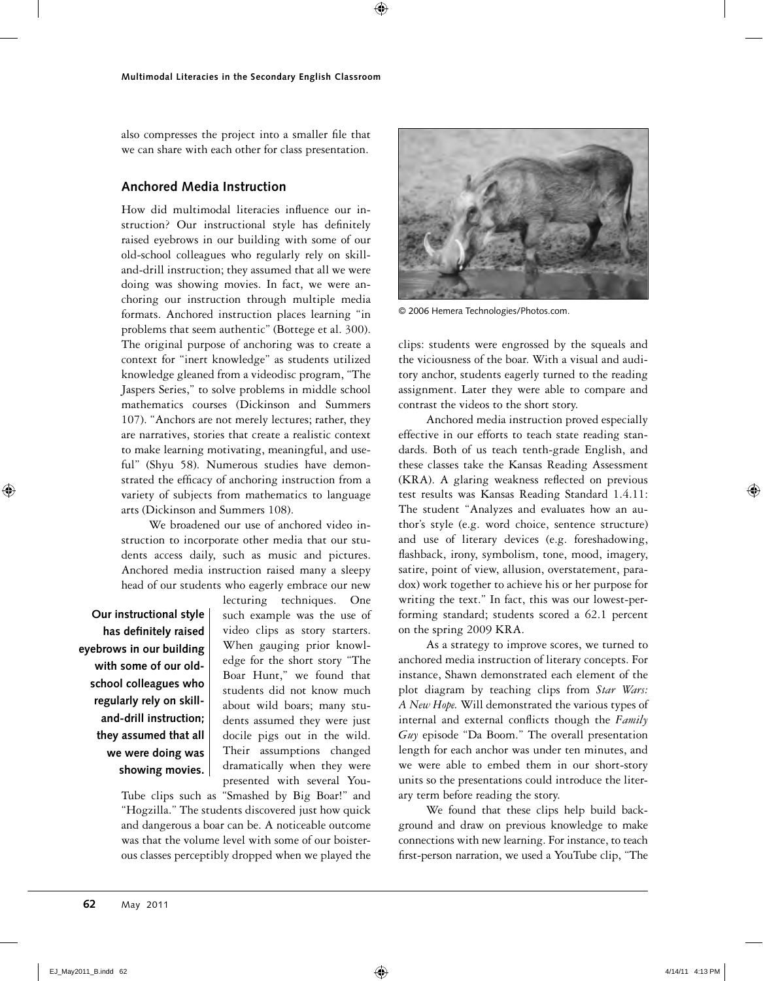also compresses the project into a smaller file that we can share with each other for class presentation.

## **Anchored Media Instruction**

How did multimodal literacies influence our instruction? Our instructional style has definitely raised eyebrows in our building with some of our old-school colleagues who regularly rely on skilland-drill instruction; they assumed that all we were doing was showing movies. In fact, we were anchoring our instruction through multiple media formats. Anchored instruction places learning "in problems that seem authentic" (Bottege et al. 300). The original purpose of anchoring was to create a context for "inert knowledge" as students utilized knowledge gleaned from a videodisc program, "The Jaspers Series," to solve problems in middle school mathematics courses (Dickinson and Summers 107). "Anchors are not merely lectures; rather, they are narratives, stories that create a realistic context to make learning motivating, meaningful, and useful" (Shyu 58). Numerous studies have demonstrated the efficacy of anchoring instruction from a variety of subjects from mathematics to language arts (Dickinson and Summers 108).

We broadened our use of anchored video instruction to incorporate other media that our students access daily, such as music and pictures. Anchored media instruction raised many a sleepy head of our students who eagerly embrace our new

**Our instructional style has definitely raised eyebrows in our building with some of our oldschool colleagues who regularly rely on skilland-drill instruction; they assumed that all we were doing was showing movies.** lecturing techniques. One such example was the use of video clips as story starters. When gauging prior knowledge for the short story "The Boar Hunt," we found that students did not know much about wild boars; many students assumed they were just docile pigs out in the wild. Their assumptions changed dramatically when they were presented with several You-

Tube clips such as "Smashed by Big Boar!" and "Hogzilla." The students discovered just how quick and dangerous a boar can be. A noticeable outcome was that the volume level with some of our boisterous classes perceptibly dropped when we played the



© 2006 Hemera Technologies/Photos.com.

clips: students were engrossed by the squeals and the viciousness of the boar. With a visual and auditory anchor, students eagerly turned to the reading assignment. Later they were able to compare and contrast the videos to the short story.

Anchored media instruction proved especially effective in our efforts to teach state reading standards. Both of us teach tenth-grade English, and these classes take the Kansas Reading Assessment (KRA). A glaring weakness reflected on previous test results was Kansas Reading Standard 1.4.11: The student "Analyzes and evaluates how an author's style (e.g. word choice, sentence structure) and use of literary devices (e.g. foreshadowing, flashback, irony, symbolism, tone, mood, imagery, satire, point of view, allusion, overstatement, paradox) work together to achieve his or her purpose for writing the text." In fact, this was our lowest-performing standard; students scored a 62.1 percent on the spring 2009 KRA.

As a strategy to improve scores, we turned to anchored media instruction of literary concepts. For instance, Shawn demonstrated each element of the plot diagram by teaching clips from *Star Wars: A New Hope.* Will demonstrated the various types of internal and external conflicts though the *Family Guy* episode "Da Boom." The overall presentation length for each anchor was under ten minutes, and we were able to embed them in our short-story units so the presentations could introduce the literary term before reading the story.

We found that these clips help build background and draw on previous knowledge to make connections with new learning. For instance, to teach first-person narration, we used a YouTube clip, "The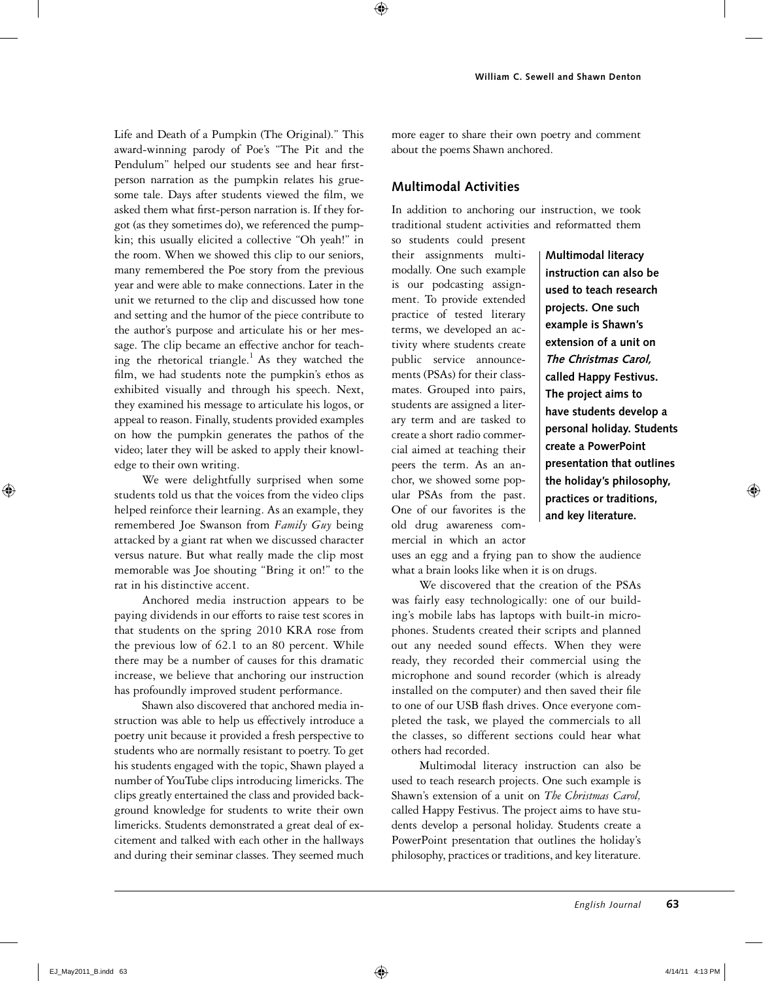Life and Death of a Pumpkin (The Original)." This award-winning parody of Poe's "The Pit and the Pendulum" helped our students see and hear firstperson narration as the pumpkin relates his gruesome tale. Days after students viewed the film, we asked them what first-person narration is. If they forgot (as they sometimes do), we referenced the pumpkin; this usually elicited a collective "Oh yeah!" in the room. When we showed this clip to our seniors, many remembered the Poe story from the previous year and were able to make connections. Later in the unit we returned to the clip and discussed how tone and setting and the humor of the piece contribute to the author's purpose and articulate his or her message. The clip became an effective anchor for teaching the rhetorical triangle.<sup>1</sup> As they watched the film, we had students note the pumpkin's ethos as exhibited visually and through his speech. Next, they examined his message to articulate his logos, or appeal to reason. Finally, students provided examples on how the pumpkin generates the pathos of the video; later they will be asked to apply their knowledge to their own writing.

We were delightfully surprised when some students told us that the voices from the video clips helped reinforce their learning. As an example, they remembered Joe Swanson from *Family Guy* being attacked by a giant rat when we discussed character versus nature. But what really made the clip most memorable was Joe shouting "Bring it on!" to the rat in his distinctive accent.

Anchored media instruction appears to be paying dividends in our efforts to raise test scores in that students on the spring 2010 KRA rose from the previous low of 62.1 to an 80 percent. While there may be a number of causes for this dramatic increase, we believe that anchoring our instruction has profoundly improved student performance.

Shawn also discovered that anchored media instruction was able to help us effectively introduce a poetry unit because it provided a fresh perspective to students who are normally resistant to poetry. To get his students engaged with the topic, Shawn played a number of YouTube clips introducing limericks. The clips greatly entertained the class and provided background knowledge for students to write their own limericks. Students demonstrated a great deal of excitement and talked with each other in the hallways and during their seminar classes. They seemed much

more eager to share their own poetry and comment about the poems Shawn anchored.

### **Multimodal Activities**

In addition to anchoring our instruction, we took traditional student activities and reformatted them so students could present

their assignments multimodally. One such example is our podcasting assignment. To provide extended practice of tested literary terms, we developed an activity where students create public service announcements (PSAs) for their classmates. Grouped into pairs, students are assigned a literary term and are tasked to create a short radio commercial aimed at teaching their peers the term. As an anchor, we showed some popular PSAs from the past. One of our favorites is the old drug awareness commercial in which an actor

**Multimodal literacy instruction can also be used to teach research projects. One such example is Shawn's extension of a unit on The Christmas Carol, called Happy Festivus. The project aims to have students develop a personal holiday. Students create a PowerPoint presentation that outlines the holiday's philosophy, practices or traditions, and key literature.**

uses an egg and a frying pan to show the audience what a brain looks like when it is on drugs.

We discovered that the creation of the PSAs was fairly easy technologically: one of our building's mobile labs has laptops with built-in microphones. Students created their scripts and planned out any needed sound effects. When they were ready, they recorded their commercial using the microphone and sound recorder (which is already installed on the computer) and then saved their file to one of our USB flash drives. Once everyone completed the task, we played the commercials to all the classes, so different sections could hear what others had recorded.

Multimodal literacy instruction can also be used to teach research projects. One such example is Shawn's extension of a unit on *The Christmas Carol,* called Happy Festivus. The project aims to have students develop a personal holiday. Students create a PowerPoint presentation that outlines the holiday's philosophy, practices or traditions, and key literature.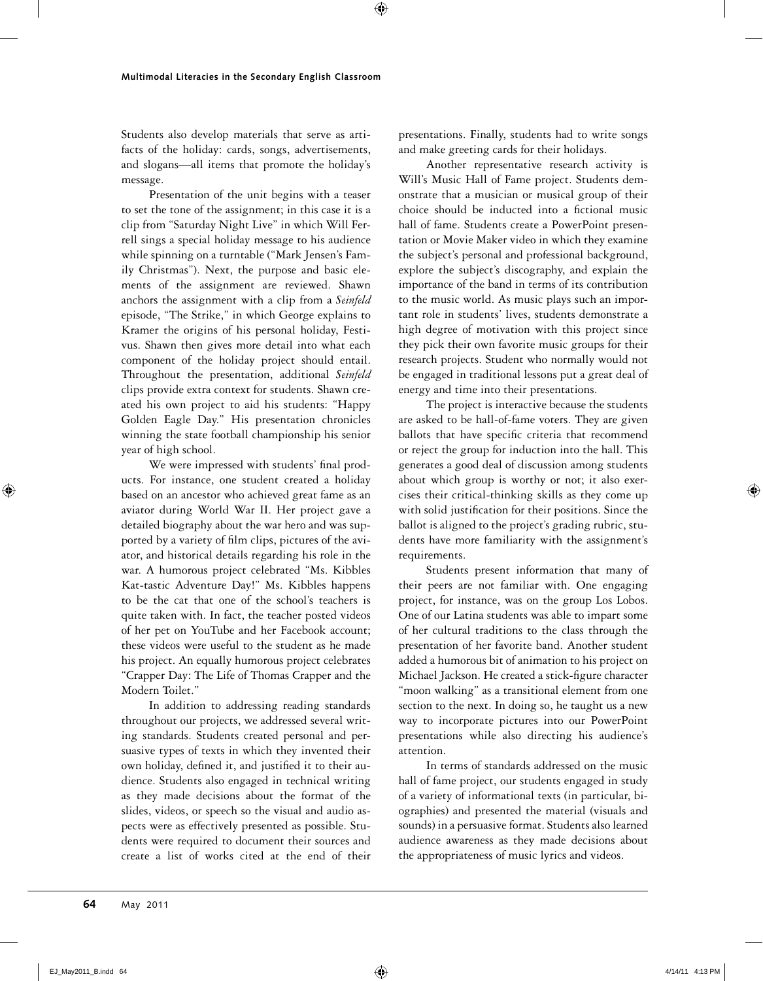Students also develop materials that serve as artifacts of the holiday: cards, songs, advertisements, and slogans—all items that promote the holiday's message.

Presentation of the unit begins with a teaser to set the tone of the assignment; in this case it is a clip from "Saturday Night Live" in which Will Ferrell sings a special holiday message to his audience while spinning on a turntable ("Mark Jensen's Family Christmas"). Next, the purpose and basic elements of the assignment are reviewed. Shawn anchors the assignment with a clip from a *Seinfeld* episode, "The Strike," in which George explains to Kramer the origins of his personal holiday, Festivus. Shawn then gives more detail into what each component of the holiday project should entail. Throughout the presentation, additional *Seinfeld* clips provide extra context for students. Shawn created his own project to aid his students: "Happy Golden Eagle Day." His presentation chronicles winning the state football championship his senior year of high school.

We were impressed with students' final products. For instance, one student created a holiday based on an ancestor who achieved great fame as an aviator during World War II. Her project gave a detailed biography about the war hero and was supported by a variety of film clips, pictures of the aviator, and historical details regarding his role in the war. A humorous project celebrated "Ms. Kibbles Kat-tastic Adventure Day!" Ms. Kibbles happens to be the cat that one of the school's teachers is quite taken with. In fact, the teacher posted videos of her pet on YouTube and her Facebook account; these videos were useful to the student as he made his project. An equally humorous project celebrates "Crapper Day: The Life of Thomas Crapper and the Modern Toilet."

In addition to addressing reading standards throughout our projects, we addressed several writing standards. Students created personal and persuasive types of texts in which they invented their own holiday, defined it, and justified it to their audience. Students also engaged in technical writing as they made decisions about the format of the slides, videos, or speech so the visual and audio aspects were as effectively presented as possible. Students were required to document their sources and create a list of works cited at the end of their presentations. Finally, students had to write songs and make greeting cards for their holidays.

Another representative research activity is Will's Music Hall of Fame project. Students demonstrate that a musician or musical group of their choice should be inducted into a fictional music hall of fame. Students create a PowerPoint presentation or Movie Maker video in which they examine the subject's personal and professional background, explore the subject's discography, and explain the importance of the band in terms of its contribution to the music world. As music plays such an important role in students' lives, students demonstrate a high degree of motivation with this project since they pick their own favorite music groups for their research projects. Student who normally would not be engaged in traditional lessons put a great deal of energy and time into their presentations.

The project is interactive because the students are asked to be hall-of-fame voters. They are given ballots that have specific criteria that recommend or reject the group for induction into the hall. This generates a good deal of discussion among students about which group is worthy or not; it also exercises their critical-thinking skills as they come up with solid justification for their positions. Since the ballot is aligned to the project's grading rubric, students have more familiarity with the assignment's requirements.

Students present information that many of their peers are not familiar with. One engaging project, for instance, was on the group Los Lobos. One of our Latina students was able to impart some of her cultural traditions to the class through the presentation of her favorite band. Another student added a humorous bit of animation to his project on Michael Jackson. He created a stick-figure character "moon walking" as a transitional element from one section to the next. In doing so, he taught us a new way to incorporate pictures into our PowerPoint presentations while also directing his audience's attention.

In terms of standards addressed on the music hall of fame project, our students engaged in study of a variety of informational texts (in particular, biographies) and presented the material (visuals and sounds) in a persuasive format. Students also learned audience awareness as they made decisions about the appropriateness of music lyrics and videos.